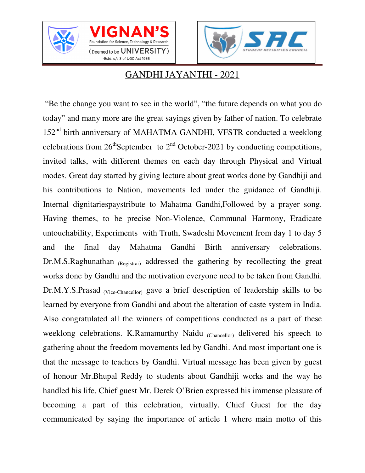





## GANDHI JAYANTHI - 2021

 "Be the change you want to see in the world", "the future depends on what you do today" and many more are the great sayings given by father of nation. To celebrate 152<sup>nd</sup> birth anniversary of MAHATMA GANDHI, VFSTR conducted a weeklong celebrations from  $26<sup>th</sup>$ September to  $2<sup>nd</sup>$  October-2021 by conducting competitions, invited talks, with different themes on each day through Physical and Virtual modes. Great day started by giving lecture about great works done by Gandhiji and his contributions to Nation, movements led under the guidance of Gandhiji. Internal dignitariespaystribute to Mahatma Gandhi,Followed by a prayer song. Having themes, to be precise Non-Violence, Communal Harmony, Eradicate untouchability, Experiments with Truth, Swadeshi Movement from day 1 to day 5 and the final day Mahatma Gandhi Birth anniversary celebrations. Dr.M.S.Raghunathan (Registrar) addressed the gathering by recollecting the great works done by Gandhi and the motivation everyone need to be taken from Gandhi. Dr.M.Y.S.Prasad (Vice-Chancellor) gave a brief description of leadership skills to be learned by everyone from Gandhi and about the alteration of caste system in India. Also congratulated all the winners of competitions conducted as a part of these weeklong celebrations. K.Ramamurthy Naidu (Chancellor) delivered his speech to gathering about the freedom movements led by Gandhi. And most important one is that the message to teachers by Gandhi. Virtual message has been given by guest of honour Mr.Bhupal Reddy to students about Gandhiji works and the way he handled his life. Chief guest Mr. Derek O'Brien expressed his immense pleasure of becoming a part of this celebration, virtually. Chief Guest for the day communicated by saying the importance of article 1 where main motto of this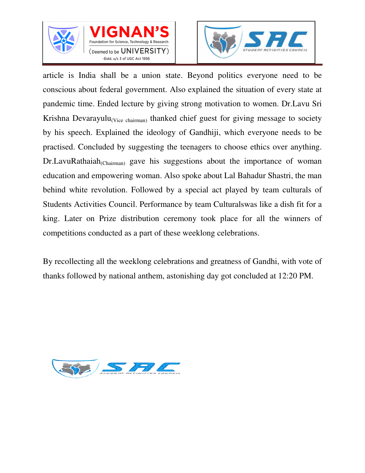





article is India shall be a union state. Beyond politics everyone need to be conscious about federal government. Also explained the situation of every state at pandemic time. Ended lecture by giving strong motivation to women. Dr.Lavu Sri Krishna Devarayulu<sub>(Vice chairman)</sub> thanked chief guest for giving message to society by his speech. Explained the ideology of Gandhiji, which everyone needs to be practised. Concluded by suggesting the teenagers to choose ethics over anything. Dr.LavuRathaiah<sub>(Chairman)</sub> gave his suggestions about the importance of woman education and empowering woman. Also spoke about Lal Bahadur Shastri, the man behind white revolution. Followed by a special act played by team culturals of Students Activities Council. Performance by team Culturalswas like a dish fit for a king. Later on Prize distribution ceremony took place for all the winners of competitions conducted as a part of these weeklong celebrations.

By recollecting all the weeklong celebrations and greatness of Gandhi, with vote of thanks followed by national anthem, astonishing day got concluded at 12:20 PM.